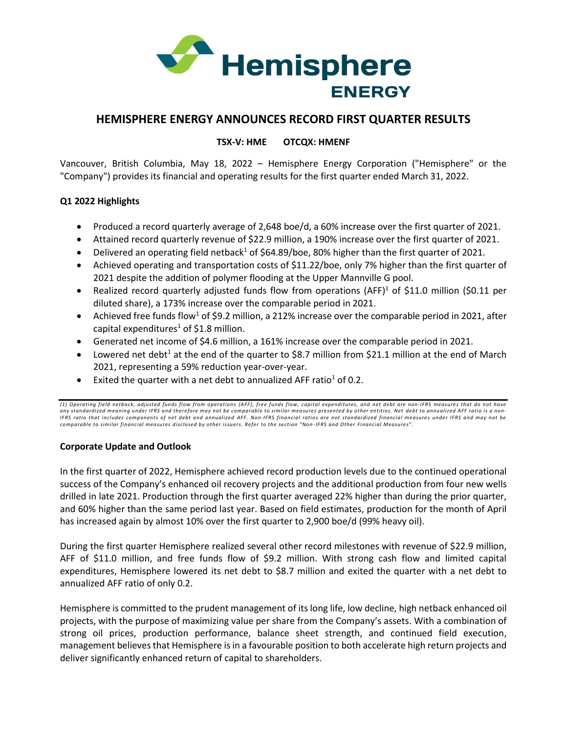

# **HEMISPHERE ENERGY ANNOUNCES RECORD FIRST QUARTER RESULTS**

# **TSX-V: HME OTCQX: HMENF**

Vancouver, British Columbia, May 18, 2022 – Hemisphere Energy Corporation ("Hemisphere" or the "Company") provides its financial and operating results for the first quarter ended March 31, 2022.

# **Q1 2022 Highlights**

- Produced a record quarterly average of 2,648 boe/d, a 60% increase over the first quarter of 2021.
- Attained record quarterly revenue of \$22.9 million, a 190% increase over the first quarter of 2021.
- Delivered an operating field netback<sup>1</sup> of \$64.89/boe, 80% higher than the first quarter of 2021.
- Achieved operating and transportation costs of \$11.22/boe, only 7% higher than the first quarter of 2021 despite the addition of polymer flooding at the Upper Mannville G pool.
- Realized record quarterly adjusted funds flow from operations (AFF)<sup>1</sup> of \$11.0 million (\$0.11 per diluted share), a 173% increase over the comparable period in 2021.
- Achieved free funds flow<sup>1</sup> of \$9.2 million, a 212% increase over the comparable period in 2021, after capital expenditures<sup>1</sup> of \$1.8 million.
- Generated net income of \$4.6 million, a 161% increase over the comparable period in 2021.
- Lowered net debt<sup>1</sup> at the end of the quarter to \$8.7 million from \$21.1 million at the end of March 2021, representing a 59% reduction year-over-year.
- Exited the quarter with a net debt to annualized AFF ratio<sup>1</sup> of 0.2.

*(1) Operating field netback, adjusted funds flow from operations (AFF), free funds flow, capital expenditures, and net debt are non-IFRS measures that do not have any standardized meaning under IFRS and therefore may not be comparable to similar measures presented by other entities. Net debt to annualized AFF ratio is a non-IFRS ratio that includes components of net debt and annualized AFF. Non-IFRS financial ratios are not standardized financial measure s under IFRS and may not be comparable to similar financial measures disclosed by other issuers. Refer to the section "Non -IFRS and Other Financial Measures".*

## **Corporate Update and Outlook**

In the first quarter of 2022, Hemisphere achieved record production levels due to the continued operational success of the Company's enhanced oil recovery projects and the additional production from four new wells drilled in late 2021. Production through the first quarter averaged 22% higher than during the prior quarter, and 60% higher than the same period last year. Based on field estimates, production for the month of April has increased again by almost 10% over the first quarter to 2,900 boe/d (99% heavy oil).

During the first quarter Hemisphere realized several other record milestones with revenue of \$22.9 million, AFF of \$11.0 million, and free funds flow of \$9.2 million. With strong cash flow and limited capital expenditures, Hemisphere lowered its net debt to \$8.7 million and exited the quarter with a net debt to annualized AFF ratio of only 0.2.

Hemisphere is committed to the prudent management of its long life, low decline, high netback enhanced oil projects, with the purpose of maximizing value per share from the Company's assets. With a combination of strong oil prices, production performance, balance sheet strength, and continued field execution, management believes that Hemisphere is in a favourable position to both accelerate high return projects and deliver significantly enhanced return of capital to shareholders.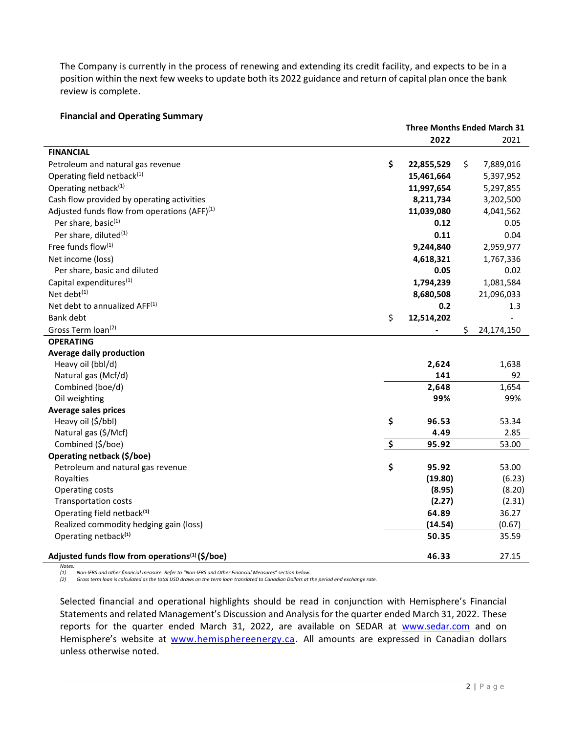The Company is currently in the process of renewing and extending its credit facility, and expects to be in a position within the next few weeks to update both its 2022 guidance and return of capital plan once the bank review is complete.

### **Financial and Operating Summary**

|                                                             | <b>Three Months Ended March 31</b> |            |    |            |
|-------------------------------------------------------------|------------------------------------|------------|----|------------|
|                                                             |                                    | 2022       |    | 2021       |
| <b>FINANCIAL</b>                                            |                                    |            |    |            |
| Petroleum and natural gas revenue                           | \$                                 | 22,855,529 | \$ | 7,889,016  |
| Operating field netback <sup>(1)</sup>                      |                                    | 15,461,664 |    | 5,397,952  |
| Operating netback <sup>(1)</sup>                            |                                    | 11,997,654 |    | 5,297,855  |
| Cash flow provided by operating activities                  |                                    | 8,211,734  |    | 3,202,500  |
| Adjusted funds flow from operations (AFF) $(1)$             |                                    | 11,039,080 |    | 4,041,562  |
| Per share, basic(1)                                         |                                    | 0.12       |    | 0.05       |
| Per share, diluted <sup>(1)</sup>                           |                                    | 0.11       |    | 0.04       |
| Free funds flow(1)                                          |                                    | 9,244,840  |    | 2,959,977  |
| Net income (loss)                                           |                                    | 4,618,321  |    | 1,767,336  |
| Per share, basic and diluted                                |                                    | 0.05       |    | 0.02       |
| Capital expenditures <sup>(1)</sup>                         |                                    | 1,794,239  |    | 1,081,584  |
| Net debt <sup>(1)</sup>                                     |                                    | 8,680,508  |    | 21,096,033 |
| Net debt to annualized AFF(1)                               |                                    | 0.2        |    | 1.3        |
| <b>Bank debt</b>                                            | \$                                 | 12,514,202 |    |            |
| Gross Term loan <sup>(2)</sup>                              |                                    |            | \$ | 24,174,150 |
| <b>OPERATING</b>                                            |                                    |            |    |            |
| <b>Average daily production</b>                             |                                    |            |    |            |
| Heavy oil (bbl/d)                                           |                                    | 2,624      |    | 1,638      |
| Natural gas (Mcf/d)                                         |                                    | 141        |    | 92         |
| Combined (boe/d)                                            |                                    | 2,648      |    | 1,654      |
| Oil weighting                                               |                                    | 99%        |    | 99%        |
| <b>Average sales prices</b>                                 |                                    |            |    |            |
| Heavy oil (\$/bbl)                                          | \$                                 | 96.53      |    | 53.34      |
| Natural gas (\$/Mcf)                                        |                                    | 4.49       |    | 2.85       |
| Combined (\$/boe)                                           | \$                                 | 95.92      |    | 53.00      |
| Operating netback (\$/boe)                                  |                                    |            |    |            |
| Petroleum and natural gas revenue                           | \$                                 | 95.92      |    | 53.00      |
| Royalties                                                   |                                    | (19.80)    |    | (6.23)     |
| Operating costs                                             |                                    | (8.95)     |    | (8.20)     |
| <b>Transportation costs</b>                                 |                                    | (2.27)     |    | (2.31)     |
| Operating field netback <sup>(1)</sup>                      |                                    | 64.89      |    | 36.27      |
| Realized commodity hedging gain (loss)                      |                                    | (14.54)    |    | (0.67)     |
| Operating netback <sup>(1)</sup>                            |                                    | 50.35      |    | 35.59      |
| Adjusted funds flow from operations <sup>(1)</sup> (\$/boe) |                                    | 46.33      |    | 27.15      |

*Notes: (1) Non-IFRS and other financial measure. Refer to "Non-IFRS and Other Financial Measures" section below.*

*(2) Gross term loan is calculated as the total USD draws on the term loan translated to Canadian Dollars at the period end exchange rate.*

Selected financial and operational highlights should be read in conjunction with Hemisphere's Financial Statements and related Management's Discussion and Analysis for the quarter ended March 31, 2022. These reports for the quarter ended March 31, 2022, are available on SEDAR at [www.sedar.com](http://www.sedar.com/) and on Hemisphere's website at [www.hemisphereenergy.ca.](http://www.hemisphereenergy.ca/investors/financial-reports) All amounts are expressed in Canadian dollars unless otherwise noted.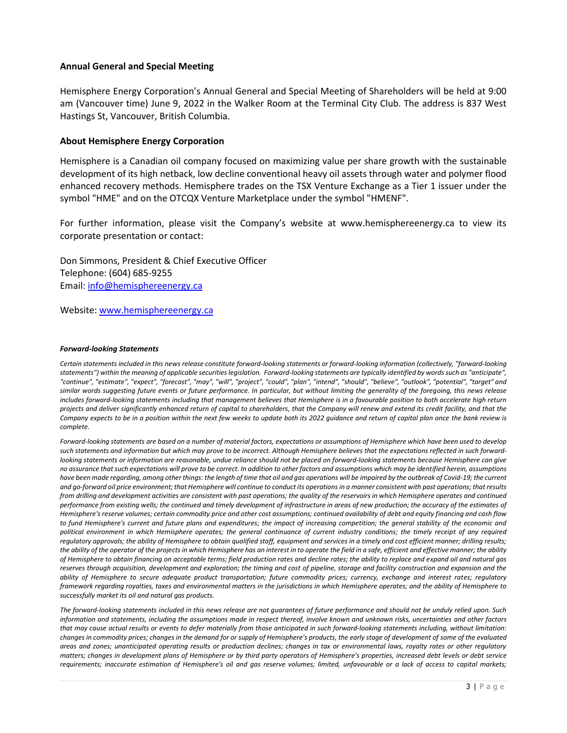### **Annual General and Special Meeting**

Hemisphere Energy Corporation's Annual General and Special Meeting of Shareholders will be held at 9:00 am (Vancouver time) June 9, 2022 in the Walker Room at the Terminal City Club. The address is 837 West Hastings St, Vancouver, British Columbia.

### **About Hemisphere Energy Corporation**

Hemisphere is a Canadian oil company focused on maximizing value per share growth with the sustainable development of its high netback, low decline conventional heavy oil assets through water and polymer flood enhanced recovery methods. Hemisphere trades on the TSX Venture Exchange as a Tier 1 issuer under the symbol "HME" and on the OTCQX Venture Marketplace under the symbol "HMENF".

For further information, please visit the Company's website at www.hemisphereenergy.ca to view its corporate presentation or contact:

Don Simmons, President & Chief Executive Officer Telephone: (604) 685-9255 Email[: info@hemisphereenergy.ca](mailto:info@hemisphereenergy.ca)

Website: [www.hemisphereenergy.ca](http://www.hemisphereenergy.ca/)

### *Forward-looking Statements*

*Certain statements included in this news release constitute forward-looking statements or forward-looking information (collectively, "forward-looking statements") within the meaning of applicable securities legislation. Forward-looking statements are typically identified by words such as "anticipate", "continue", "estimate", "expect", "forecast", "may", "will", "project", "could", "plan", "intend", "should", "believe", "outlook", "potential", "target" and similar words suggesting future events or future performance. In particular, but without limiting the generality of the foregoing, this news release includes forward-looking statements including that management believes that Hemisphere is in a favourable position to both accelerate high return projects and deliver significantly enhanced return of capital to shareholders, that the Company will renew and extend its credit facility, and that the Company expects to be in a position within the next few weeks to update both its 2022 guidance and return of capital plan once the bank review is complete.*

*Forward‐looking statements are based on a number of material factors, expectations or assumptions of Hemisphere which have been used to develop such statements and information but which may prove to be incorrect. Although Hemisphere believes that the expectations reflected in such forward‐ looking statements or information are reasonable, undue reliance should not be placed on forward‐looking statements because Hemisphere can give no assurance that such expectations will prove to be correct. In addition to other factors and assumptions which may be identified herein, assumptions have been made regarding, among other things: the length of time that oil and gas operations will be impaired by the outbreak of Covid-19; the current and go-forward oil price environment; that Hemisphere will continue to conduct its operations in a manner consistent with past operations; that results from drilling and development activities are consistent with past operations; the quality of the reservoirs in which Hemisphere operates and continued performance from existing wells; the continued and timely development of infrastructure in areas of new production; the accuracy of the estimates of Hemisphere's reserve volumes; certain commodity price and other cost assumptions; continued availability of debt and equity financing and cash flow to fund Hemisphere's current and future plans and expenditures; the impact of increasing competition; the general stability of the economic and political environment in which Hemisphere operates; the general continuance of current industry conditions; the timely receipt of any required regulatory approvals; the ability of Hemisphere to obtain qualified staff, equipment and services in a timely and cost efficient manner; drilling results; the ability of the operator of the projects in which Hemisphere has an interest in to operate the field in a safe, efficient and effective manner; the ability of Hemisphere to obtain financing on acceptable terms; field production rates and decline rates; the ability to replace and expand oil and natural gas*  reserves through acquisition, development and exploration; the timing and cost of pipeline, storage and facility construction and expansion and the *ability of Hemisphere to secure adequate product transportation; future commodity prices; currency, exchange and interest rates; regulatory framework regarding royalties, taxes and environmental matters in the jurisdictions in which Hemisphere operates; and the ability of Hemisphere to successfully market its oil and natural gas products.*

*The forward‐looking statements included in this news release are not guarantees of future performance and should not be unduly relied upon. Such information and statements, including the assumptions made in respect thereof, involve known and unknown risks, uncertainties and other factors that may cause actual results or events to defer materially from those anticipated in such forward‐looking statements including, without limitation: changes in commodity prices; changes in the demand for or supply of Hemisphere's products, the early stage of development of some of the evaluated areas and zones; unanticipated operating results or production declines; changes in tax or environmental laws, royalty rates or other regulatory matters; changes in development plans of Hemisphere or by third party operators of Hemisphere's properties, increased debt levels or debt service requirements; inaccurate estimation of Hemisphere's oil and gas reserve volumes; limited, unfavourable or a lack of access to capital markets;*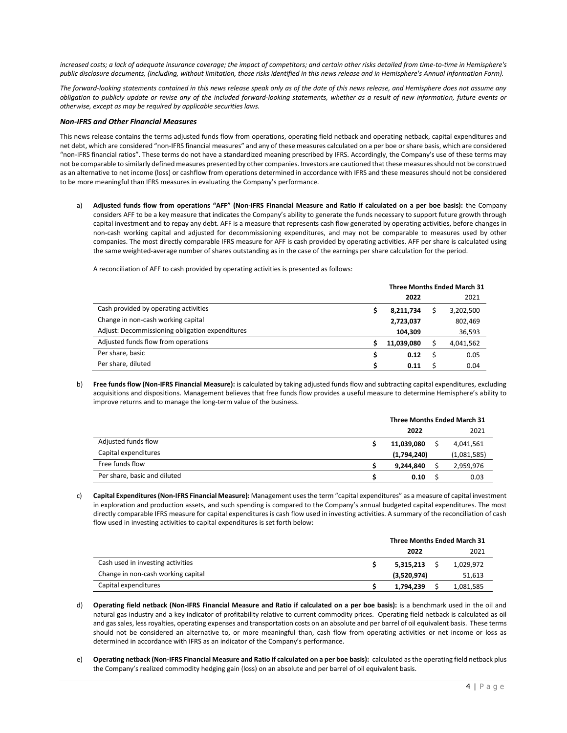*increased costs; a lack of adequate insurance coverage; the impact of competitors; and certain other risks detailed from time‐to‐time in Hemisphere's public disclosure documents, (including, without limitation, those risks identified in this news release and in Hemisphere's Annual Information Form).*

*The forward‐looking statements contained in this news release speak only as of the date of this news release, and Hemisphere does not assume any obligation to publicly update or revise any of the included forward‐looking statements, whether as a result of new information, future events or otherwise, except as may be required by applicable securities laws.*

#### *Non-IFRS and Other Financial Measures*

This news release contains the terms adjusted funds flow from operations, operating field netback and operating netback, capital expenditures and net debt, which are considered "non-IFRS financial measures" and any of these measures calculated on a per boe or share basis, which are considered "non-IFRS financial ratios". These terms do not have a standardized meaning prescribed by IFRS. Accordingly, the Company's use of these terms may not be comparable to similarly defined measures presented by other companies. Investors are cautioned that these measures should not be construed as an alternative to net income (loss) or cashflow from operations determined in accordance with IFRS and these measures should not be considered to be more meaningful than IFRS measures in evaluating the Company's performance.

a) **Adjusted funds flow from operations "AFF" (Non-IFRS Financial Measure and Ratio if calculated on a per boe basis):** the Company considers AFF to be a key measure that indicates the Company's ability to generate the funds necessary to support future growth through capital investment and to repay any debt. AFF is a measure that represents cash flow generated by operating activities, before changes in non-cash working capital and adjusted for decommissioning expenditures, and may not be comparable to measures used by other companies. The most directly comparable IFRS measure for AFF is cash provided by operating activities. AFF per share is calculated using the same weighted-average number of shares outstanding as in the case of the earnings per share calculation for the period.

A reconciliation of AFF to cash provided by operating activities is presented as follows:

|                                                 | <b>Three Months Ended March 31</b> |            |  |           |
|-------------------------------------------------|------------------------------------|------------|--|-----------|
|                                                 |                                    | 2022       |  | 2021      |
| Cash provided by operating activities           |                                    | 8,211,734  |  | 3,202,500 |
| Change in non-cash working capital              |                                    | 2,723,037  |  | 802,469   |
| Adjust: Decommissioning obligation expenditures |                                    | 104.309    |  | 36,593    |
| Adjusted funds flow from operations             |                                    | 11,039,080 |  | 4,041,562 |
| Per share, basic                                |                                    | 0.12       |  | 0.05      |
| Per share, diluted                              |                                    | 0.11       |  | 0.04      |

b) **Free funds flow (Non-IFRS Financial Measure):** is calculated by taking adjusted funds flow and subtracting capital expenditures, excluding acquisitions and dispositions. Management believes that free funds flow provides a useful measure to determine Hemisphere's ability to improve returns and to manage the long-term value of the business.

|                              | <b>Three Months Ended March 31</b> |  |             |
|------------------------------|------------------------------------|--|-------------|
|                              | 2022                               |  | 2021        |
| Adjusted funds flow          | 11,039,080                         |  | 4,041,561   |
| Capital expenditures         | (1,794,240)                        |  | (1,081,585) |
| Free funds flow              | 9,244,840                          |  | 2,959,976   |
| Per share, basic and diluted | 0.10                               |  | 0.03        |

c) **Capital Expenditures (Non-IFRS Financial Measure):** Management uses the term "capital expenditures" as a measure of capital investment in exploration and production assets, and such spending is compared to the Company's annual budgeted capital expenditures. The most directly comparable IFRS measure for capital expenditures is cash flow used in investing activities. A summary of the reconciliation of cash flow used in investing activities to capital expenditures is set forth below:

|                                    | <b>Three Months Ended March 31</b> |           |  |
|------------------------------------|------------------------------------|-----------|--|
|                                    | 2022                               | 2021      |  |
| Cash used in investing activities  | 5.315.213                          | 1,029,972 |  |
| Change in non-cash working capital | (3,520,974)                        | 51,613    |  |
| Capital expenditures               | 1,794,239                          | 1,081,585 |  |

- d) **Operating field netback (Non-IFRS Financial Measure and Ratio if calculated on a per boe basis):** is a benchmark used in the oil and natural gas industry and a key indicator of profitability relative to current commodity prices. Operating field netback is calculated as oil and gas sales, less royalties, operating expenses and transportation costs on an absolute and per barrel of oil equivalent basis. These terms should not be considered an alternative to, or more meaningful than, cash flow from operating activities or net income or loss as determined in accordance with IFRS as an indicator of the Company's performance.
- e) **Operating netback (Non-IFRS Financial Measure and Ratio if calculated on a per boe basis):** calculated as the operating field netback plus the Company's realized commodity hedging gain (loss) on an absolute and per barrel of oil equivalent basis.